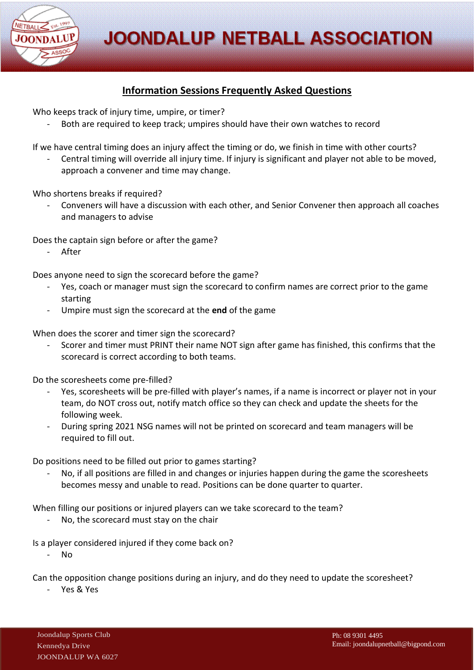**JOONDALUP NETBALL ASSOCIATION** 



## **Information Sessions Frequently Asked Questions**

Who keeps track of injury time, umpire, or timer?

Both are required to keep track; umpires should have their own watches to record

If we have central timing does an injury affect the timing or do, we finish in time with other courts?

Central timing will override all injury time. If injury is significant and player not able to be moved, approach a convener and time may change.

Who shortens breaks if required?

- Conveners will have a discussion with each other, and Senior Convener then approach all coaches and managers to advise

Does the captain sign before or after the game?

- After

Does anyone need to sign the scorecard before the game?

- Yes, coach or manager must sign the scorecard to confirm names are correct prior to the game starting
- Umpire must sign the scorecard at the **end** of the game

When does the scorer and timer sign the scorecard?

- Scorer and timer must PRINT their name NOT sign after game has finished, this confirms that the scorecard is correct according to both teams.

Do the scoresheets come pre-filled?

- Yes, scoresheets will be pre-filled with player's names, if a name is incorrect or player not in your team, do NOT cross out, notify match office so they can check and update the sheets for the following week.
- During spring 2021 NSG names will not be printed on scorecard and team managers will be required to fill out.

Do positions need to be filled out prior to games starting?

No, if all positions are filled in and changes or injuries happen during the game the scoresheets becomes messy and unable to read. Positions can be done quarter to quarter.

When filling our positions or injured players can we take scorecard to the team?

No, the scorecard must stay on the chair

Is a player considered injured if they come back on?

- No

Can the opposition change positions during an injury, and do they need to update the scoresheet?

Yes & Yes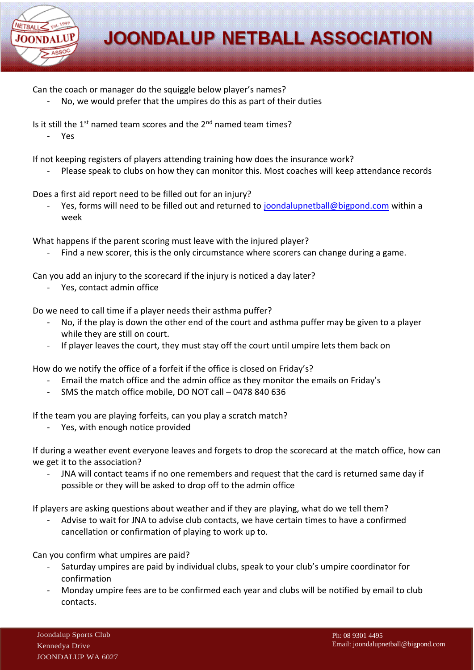

Can the coach or manager do the squiggle below player's names?

No, we would prefer that the umpires do this as part of their duties

Is it still the 1<sup>st</sup> named team scores and the 2<sup>nd</sup> named team times?

- Yes

If not keeping registers of players attending training how does the insurance work?

Please speak to clubs on how they can monitor this. Most coaches will keep attendance records

Does a first aid report need to be filled out for an injury?

Yes, forms will need to be filled out and returned to [joondalupnetball@bigpond.com](mailto:joondalupnetball@bigpond.com) within a week

What happens if the parent scoring must leave with the injured player?

Find a new scorer, this is the only circumstance where scorers can change during a game.

Can you add an injury to the scorecard if the injury is noticed a day later?

Yes, contact admin office

Do we need to call time if a player needs their asthma puffer?

- No, if the play is down the other end of the court and asthma puffer may be given to a player while they are still on court.
- If player leaves the court, they must stay off the court until umpire lets them back on

How do we notify the office of a forfeit if the office is closed on Friday's?

- Email the match office and the admin office as they monitor the emails on Friday's
- SMS the match office mobile, DO NOT call 0478 840 636

If the team you are playing forfeits, can you play a scratch match?

Yes, with enough notice provided

If during a weather event everyone leaves and forgets to drop the scorecard at the match office, how can we get it to the association?

JNA will contact teams if no one remembers and request that the card is returned same day if possible or they will be asked to drop off to the admin office

If players are asking questions about weather and if they are playing, what do we tell them?

- Advise to wait for JNA to advise club contacts, we have certain times to have a confirmed cancellation or confirmation of playing to work up to.

Can you confirm what umpires are paid?

- Saturday umpires are paid by individual clubs, speak to your club's umpire coordinator for confirmation
- Monday umpire fees are to be confirmed each year and clubs will be notified by email to club contacts.